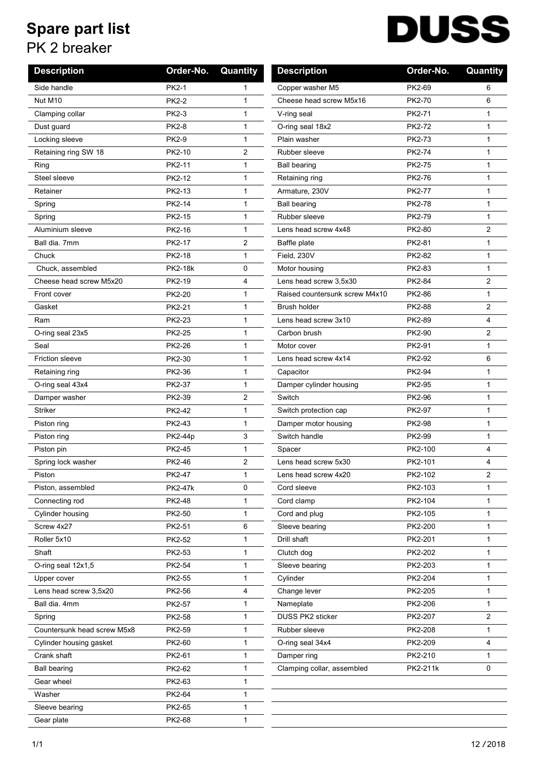## **Spare part list**

## PK 2 breaker

| <b>DUSS</b> |
|-------------|
|             |

| <b>Description</b>          | Order-No.      | Quantity       | <b>Description</b>             | Order-No. | Quantity     |
|-----------------------------|----------------|----------------|--------------------------------|-----------|--------------|
| Side handle                 | <b>PK2-1</b>   | 1              | Copper washer M5               | PK2-69    | 6            |
| Nut M10                     | <b>PK2-2</b>   | 1              | Cheese head screw M5x16        | PK2-70    | 6            |
| Clamping collar             | <b>PK2-3</b>   | $\mathbf{1}$   | V-ring seal                    | PK2-71    | $\mathbf{1}$ |
| Dust guard                  | <b>PK2-8</b>   | $\mathbf{1}$   | O-ring seal 18x2               | PK2-72    | $\mathbf 1$  |
| Locking sleeve              | <b>PK2-9</b>   | $\mathbf{1}$   | Plain washer                   | PK2-73    | $\mathbf 1$  |
| Retaining ring SW 18        | PK2-10         | 2              | Rubber sleeve                  | PK2-74    | $\mathbf 1$  |
| Ring                        | PK2-11         | 1              | <b>Ball bearing</b>            | PK2-75    | $\mathbf 1$  |
| Steel sleeve                | PK2-12         | 1              | Retaining ring                 | PK2-76    | $\mathbf{1}$ |
| Retainer                    | PK2-13         | $\mathbf{1}$   | Armature, 230V                 | PK2-77    | $\mathbf 1$  |
| Spring                      | PK2-14         | $\mathbf{1}$   | <b>Ball bearing</b>            | PK2-78    | $\mathbf{1}$ |
| Spring                      | PK2-15         | 1              | Rubber sleeve                  | PK2-79    | 1            |
| Aluminium sleeve            | PK2-16         | $\mathbf{1}$   | Lens head screw 4x48           | PK2-80    | 2            |
| Ball dia. 7mm               | PK2-17         | 2              | Baffle plate                   | PK2-81    | $\mathbf 1$  |
| Chuck                       | PK2-18         | 1              | Field, 230V                    | PK2-82    | 1            |
| Chuck, assembled            | <b>PK2-18k</b> | 0              | Motor housing                  | PK2-83    | $\mathbf{1}$ |
| Cheese head screw M5x20     | PK2-19         | 4              | Lens head screw 3,5x30         | PK2-84    | 2            |
| Front cover                 | PK2-20         | 1              | Raised countersunk screw M4x10 | PK2-86    | 1            |
| Gasket                      | PK2-21         | 1              | Brush holder                   | PK2-88    | 2            |
| Ram                         | PK2-23         | $\mathbf{1}$   | Lens head screw 3x10           | PK2-89    | 4            |
| O-ring seal 23x5            | PK2-25         | $\mathbf{1}$   | Carbon brush                   | PK2-90    | 2            |
| Seal                        | PK2-26         | $\mathbf{1}$   | Motor cover                    | PK2-91    | $\mathbf 1$  |
| <b>Friction sleeve</b>      | PK2-30         | $\mathbf{1}$   | Lens head screw 4x14           | PK2-92    | 6            |
| Retaining ring              | PK2-36         | $\mathbf{1}$   | Capacitor                      | PK2-94    | $\mathbf 1$  |
| O-ring seal 43x4            | PK2-37         | $\mathbf{1}$   | Damper cylinder housing        | PK2-95    | $\mathbf{1}$ |
| Damper washer               | PK2-39         | $\overline{c}$ | Switch                         | PK2-96    | 1            |
| <b>Striker</b>              | PK2-42         | $\mathbf{1}$   | Switch protection cap          | PK2-97    | $\mathbf{1}$ |
| Piston ring                 | PK2-43         | $\mathbf{1}$   | Damper motor housing           | PK2-98    | $\mathbf 1$  |
| Piston ring                 | PK2-44p        | 3              | Switch handle                  | PK2-99    | $\mathbf 1$  |
| Piston pin                  | PK2-45         | $\mathbf{1}$   | Spacer                         | PK2-100   | 4            |
| Spring lock washer          | PK2-46         | $\overline{2}$ | Lens head screw 5x30           | PK2-101   | 4            |
| Piston                      | PK2-47         | 1              | Lens head screw 4x20           | PK2-102   | 2            |
| Piston, assembled           | <b>PK2-47k</b> | 0              | Cord sleeve                    | PK2-103   | 1            |
| Connecting rod              | PK2-48         | $\mathbf{1}$   | Cord clamp                     | PK2-104   | 1            |
| Cylinder housing            | PK2-50         | 1              | Cord and plug                  | PK2-105   | 1            |
| Screw 4x27                  | PK2-51         | 6              | Sleeve bearing                 | PK2-200   | 1            |
| Roller 5x10                 | PK2-52         | $\mathbf{1}$   | Drill shaft                    | PK2-201   | $\mathbf{1}$ |
| Shaft                       | PK2-53         | 1              | Clutch dog                     | PK2-202   | 1            |
| O-ring seal 12x1,5          | PK2-54         | $\mathbf{1}$   | Sleeve bearing                 | PK2-203   | 1            |
| Upper cover                 | PK2-55         | $\mathbf{1}$   | Cylinder                       | PK2-204   | 1            |
| Lens head screw 3,5x20      | PK2-56         | 4              | Change lever                   | PK2-205   | 1            |
| Ball dia. 4mm               | PK2-57         | 1              | Nameplate                      | PK2-206   | 1            |
| Spring                      | PK2-58         | $\mathbf{1}$   | DUSS PK2 sticker               | PK2-207   | 2            |
| Countersunk head screw M5x8 | PK2-59         | 1              | Rubber sleeve                  | PK2-208   | 1            |
| Cylinder housing gasket     | PK2-60         | $\mathbf{1}$   | O-ring seal 34x4               | PK2-209   | 4            |
| Crank shaft                 | PK2-61         | $\mathbf{1}$   | Damper ring                    | PK2-210   | 1            |
| <b>Ball bearing</b>         | PK2-62         | $\mathbf{1}$   | Clamping collar, assembled     | PK2-211k  | 0            |
| Gear wheel                  | PK2-63         | $\mathbf{1}$   |                                |           |              |
| Washer                      | PK2-64         | 1              |                                |           |              |
| Sleeve bearing              | PK2-65         | $\mathbf{1}$   |                                |           |              |
| Gear plate                  | PK2-68         | 1              |                                |           |              |

 $\overline{\phantom{0}}$  $\mathcal{L}_{\mathcal{L}}$